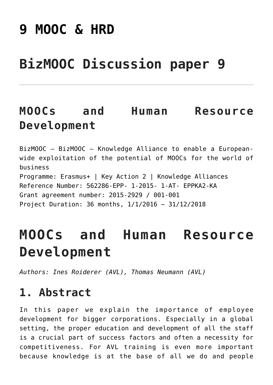# **[9 MOOC & HRD](https://bizmooc.eu/papers/mooc-hrd/)**

# **BizMOOC Discussion paper 9**

## **MOOCs and Human Resource Development**

BizMOOC – BizMOOC – Knowledge Alliance to enable a Europeanwide exploitation of the potential of MOOCs for the world of business Programme: Erasmus+ | Key Action 2 | Knowledge Alliances Reference Number: 562286-EPP- 1-2015- 1-AT- EPPKA2-KA Grant agreement number: 2015-2929 / 001-001 Project Duration: 36 months, 1/1/2016 – 31/12/2018

# **MOOCs and Human Resource Development**

*Authors: Ines Roiderer (AVL), Thomas Neumann (AVL)*

#### **1. Abstract**

In this paper we explain the importance of employee development for bigger corporations. Especially in a global setting, the proper education and development of all the staff is a crucial part of success factors and often a necessity for competitiveness. For AVL training is even more important because knowledge is at the base of all we do and people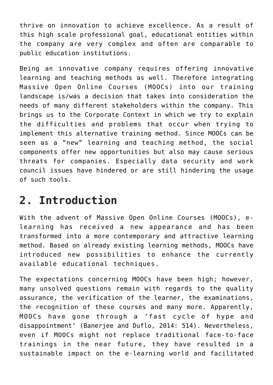thrive on innovation to achieve excellence. As a result of this high scale professional goal, educational entities within the company are very complex and often are comparable to public education institutions.

Being an innovative company requires offering innovative learning and teaching methods as well. Therefore integrating Massive Open Online Courses (MOOCs) into our training landscape is/was a decision that takes into consideration the needs of many different stakeholders within the company. This brings us to the Corporate Context in which we try to explain the difficulties and problems that occur when trying to implement this alternative training method. Since MOOCs can be seen as a "new" learning and teaching method, the social components offer new opportunities but also may cause serious threats for companies. Especially data security and work council issues have hindered or are still hindering the usage of such tools.

### **2. Introduction**

With the advent of Massive Open Online Courses (MOOCs), elearning has received a new appearance and has been transformed into a more contemporary and attractive learning method. Based on already existing learning methods, MOOCs have introduced new possibilities to enhance the currently available educational techniques.

The expectations concerning MOOCs have been high; however, many unsolved questions remain with regards to the quality assurance, the verification of the learner, the examinations, the recognition of these courses and many more. Apparently, MOOCs have gone through a 'fast cycle of hype and disappointment' (Banerjee and Duflo, 2014: 514). Nevertheless, even if MOOCs might not replace traditional face-to-face trainings in the near future, they have resulted in a sustainable impact on the e-learning world and facilitated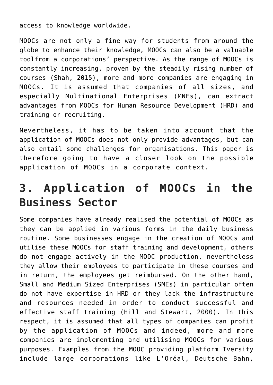access to knowledge worldwide.

MOOCs are not only a fine way for students from around the globe to enhance their knowledge, MOOCs can also be a valuable toolfrom a corporations' perspective. As the range of MOOCs is constantly increasing, proven by the steadily rising number of courses (Shah, 2015), more and more companies are engaging in MOOCs. It is assumed that companies of all sizes, and especially Multinational Enterprises (MNEs), can extract advantages from MOOCs for Human Resource Development (HRD) and training or recruiting.

Nevertheless, it has to be taken into account that the application of MOOCs does not only provide advantages, but can also entail some challenges for organisations. This paper is therefore going to have a closer look on the possible application of MOOCs in a corporate context.

## **3. Application of MOOCs in the Business Sector**

Some companies have already realised the potential of MOOCs as they can be applied in various forms in the daily business routine. Some businesses engage in the creation of MOOCs and utilise these MOOCs for staff training and development, others do not engage actively in the MOOC production, nevertheless they allow their employees to participate in these courses and in return, the employees get reimbursed. On the other hand, Small and Medium Sized Enterprises (SMEs) in particular often do not have expertise in HRD or they lack the infrastructure and resources needed in order to conduct successful and effective staff training (Hill and Stewart, 2000). In this respect, it is assumed that all types of companies can profit by the application of MOOCs and indeed, more and more companies are implementing and utilising MOOCs for various purposes. Examples from the MOOC providing platform Iversity include large corporations like L'Oréal, Deutsche Bahn,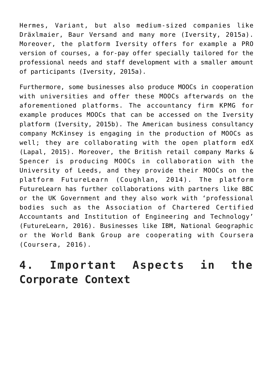Hermes, Variant, but also medium-sized companies like Dräxlmaier, Baur Versand and many more (Iversity, 2015a). Moreover, the platform Iversity offers for example a PRO version of courses, a for-pay offer specially tailored for the professional needs and staff development with a smaller amount of participants (Iversity, 2015a).

Furthermore, some businesses also produce MOOCs in cooperation with universities and offer these MOOCs afterwards on the aforementioned platforms. The accountancy firm KPMG for example produces MOOCs that can be accessed on the Iversity platform (Iversity, 2015b). The American business consultancy company McKinsey is engaging in the production of MOOCs as well; they are collaborating with the open platform edX (Lapal, 2015). Moreover, the British retail company Marks & Spencer is producing MOOCs in collaboration with the University of Leeds, and they provide their MOOCs on the platform FutureLearn (Coughlan, 2014). The platform FutureLearn has further collaborations with partners like BBC or the UK Government and they also work with 'professional bodies such as the Association of Chartered Certified Accountants and Institution of Engineering and Technology' (FutureLearn, 2016). Businesses like IBM, National Geographic or the World Bank Group are cooperating with Coursera (Coursera, 2016).

## **4. Important Aspects in the Corporate Context**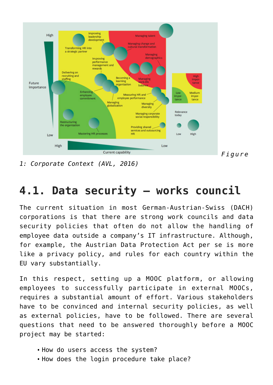

*1: Corporate Context (AVL, 2016)*

## **4.1. Data security – works council**

The current situation in most German-Austrian-Swiss (DACH) corporations is that there are strong work councils and data security policies that often do not allow the handling of employee data outside a company's IT infrastructure. Although, for example, the Austrian Data Protection Act per se is more like a privacy policy, and rules for each country within the EU vary substantially.

In this respect, setting up a MOOC platform, or allowing employees to successfully participate in external MOOCs, requires a substantial amount of effort. Various stakeholders have to be convinced and internal security policies, as well as external policies, have to be followed. There are several questions that need to be answered thoroughly before a MOOC project may be started:

- How do users access the system?
- How does the login procedure take place?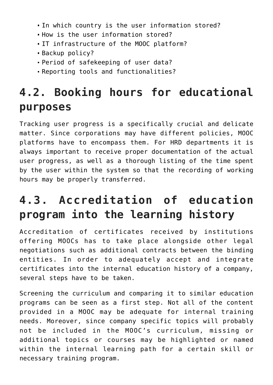- In which country is the user information stored?
- How is the user information stored?
- IT infrastructure of the MOOC platform?
- Backup policy?
- Period of safekeeping of user data?
- Reporting tools and functionalities?

## **4.2. Booking hours for educational purposes**

Tracking user progress is a specifically crucial and delicate matter. Since corporations may have different policies, MOOC platforms have to encompass them. For HRD departments it is always important to receive proper documentation of the actual user progress, as well as a thorough listing of the time spent by the user within the system so that the recording of working hours may be properly transferred.

## **4.3. Accreditation of education program into the learning history**

Accreditation of certificates received by institutions offering MOOCs has to take place alongside other legal negotiations such as additional contracts between the binding entities. In order to adequately accept and integrate certificates into the internal education history of a company, several steps have to be taken.

Screening the curriculum and comparing it to similar education programs can be seen as a first step. Not all of the content provided in a MOOC may be adequate for internal training needs. Moreover, since company specific topics will probably not be included in the MOOC's curriculum, missing or additional topics or courses may be highlighted or named within the internal learning path for a certain skill or necessary training program.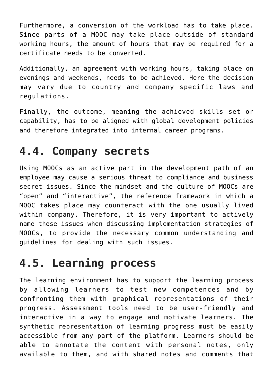Furthermore, a conversion of the workload has to take place. Since parts of a MOOC may take place outside of standard working hours, the amount of hours that may be required for a certificate needs to be converted.

Additionally, an agreement with working hours, taking place on evenings and weekends, needs to be achieved. Here the decision may vary due to country and company specific laws and regulations.

Finally, the outcome, meaning the achieved skills set or capability, has to be aligned with global development policies and therefore integrated into internal career programs.

#### **4.4. Company secrets**

Using MOOCs as an active part in the development path of an employee may cause a serious threat to compliance and business secret issues. Since the mindset and the culture of MOOCs are "open" and "interactive", the reference framework in which a MOOC takes place may counteract with the one usually lived within company. Therefore, it is very important to actively name those issues when discussing implementation strategies of MOOCs, to provide the necessary common understanding and guidelines for dealing with such issues.

## **4.5. Learning process**

The learning environment has to support the learning process by allowing learners to test new competences and by confronting them with graphical representations of their progress. Assessment tools need to be user-friendly and interactive in a way to engage and motivate learners. The synthetic representation of learning progress must be easily accessible from any part of the platform. Learners should be able to annotate the content with personal notes, only available to them, and with shared notes and comments that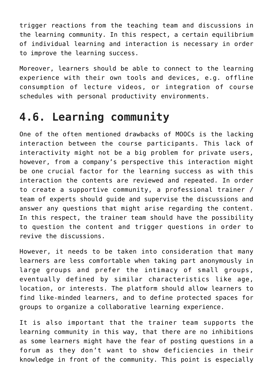trigger reactions from the teaching team and discussions in the learning community. In this respect, a certain equilibrium of individual learning and interaction is necessary in order to improve the learning success.

Moreover, learners should be able to connect to the learning experience with their own tools and devices, e.g. offline consumption of lecture videos, or integration of course schedules with personal productivity environments.

## **4.6. Learning community**

One of the often mentioned drawbacks of MOOCs is the lacking interaction between the course participants. This lack of interactivity might not be a big problem for private users, however, from a company's perspective this interaction might be one crucial factor for the learning success as with this interaction the contents are reviewed and repeated. In order to create a supportive community, a professional trainer / team of experts should guide and supervise the discussions and answer any questions that might arise regarding the content. In this respect, the trainer team should have the possibility to question the content and trigger questions in order to revive the discussions.

However, it needs to be taken into consideration that many learners are less comfortable when taking part anonymously in large groups and prefer the intimacy of small groups, eventually defined by similar characteristics like age, location, or interests. The platform should allow learners to find like-minded learners, and to define protected spaces for groups to organize a collaborative learning experience.

It is also important that the trainer team supports the learning community in this way, that there are no inhibitions as some learners might have the fear of posting questions in a forum as they don't want to show deficiencies in their knowledge in front of the community. This point is especially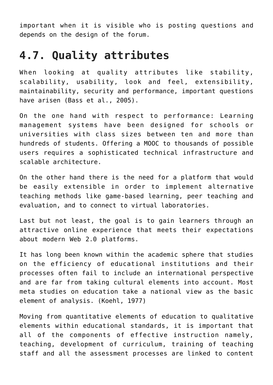important when it is visible who is posting questions and depends on the design of the forum.

#### **4.7. Quality attributes**

When looking at quality attributes like stability, scalability, usability, look and feel, extensibility, maintainability, security and performance, important questions have arisen (Bass et al., 2005).

On the one hand with respect to performance: Learning management systems have been designed for schools or universities with class sizes between ten and more than hundreds of students. Offering a MOOC to thousands of possible users requires a sophisticated technical infrastructure and scalable architecture.

On the other hand there is the need for a platform that would be easily extensible in order to implement alternative teaching methods like game-based learning, peer teaching and evaluation, and to connect to virtual laboratories.

Last but not least, the goal is to gain learners through an attractive online experience that meets their expectations about modern Web 2.0 platforms.

It has long been known within the academic sphere that studies on the efficiency of educational institutions and their processes often fail to include an international perspective and are far from taking cultural elements into account. Most meta studies on education take a national view as the basic element of analysis. (Koehl, 1977)

Moving from quantitative elements of education to qualitative elements within educational standards, it is important that all of the components of effective instruction namely, teaching, development of curriculum, training of teaching staff and all the assessment processes are linked to content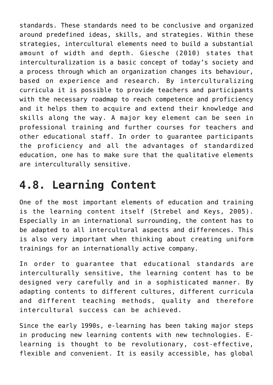standards. These standards need to be conclusive and organized around predefined ideas, skills, and strategies. Within these strategies, intercultural elements need to build a substantial amount of width and depth. Giesche (2010) states that interculturalization is a basic concept of today's society and a process through which an organization changes its behaviour, based on experience and research. By interculturalizing curricula it is possible to provide teachers and participants with the necessary roadmap to reach competence and proficiency and it helps them to acquire and extend their knowledge and skills along the way. A major key element can be seen in professional training and further courses for teachers and other educational staff. In order to guarantee participants the proficiency and all the advantages of standardized education, one has to make sure that the qualitative elements are interculturally sensitive.

## **4.8. Learning Content**

One of the most important elements of education and training is the learning content itself (Strebel and Keys, 2005). Especially in an international surrounding, the content has to be adapted to all intercultural aspects and differences. This is also very important when thinking about creating uniform trainings for an internationally active company.

In order to guarantee that educational standards are interculturally sensitive, the learning content has to be designed very carefully and in a sophisticated manner. By adapting contents to different cultures, different curricula and different teaching methods, quality and therefore intercultural success can be achieved.

Since the early 1990s, e-learning has been taking major steps in producing new learning contents with new technologies. Elearning is thought to be revolutionary, cost-effective, flexible and convenient. It is easily accessible, has global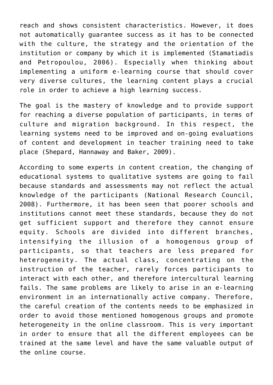reach and shows consistent characteristics. However, it does not automatically guarantee success as it has to be connected with the culture, the strategy and the orientation of the institution or company by which it is implemented (Stamatiadis and Petropoulou, 2006). Especially when thinking about implementing a uniform e-learning course that should cover very diverse cultures, the learning content plays a crucial role in order to achieve a high learning success.

The goal is the mastery of knowledge and to provide support for reaching a diverse population of participants, in terms of culture and migration background. In this respect, the learning systems need to be improved and on-going evaluations of content and development in teacher training need to take place (Shepard, Hannaway and Baker, 2009).

According to some experts in content creation, the changing of educational systems to qualitative systems are going to fail because standards and assessments may not reflect the actual knowledge of the participants (National Research Council, 2008). Furthermore, it has been seen that poorer schools and institutions cannot meet these standards, because they do not get sufficient support and therefore they cannot ensure equity. Schools are divided into different branches, intensifying the illusion of a homogenous group of participants, so that teachers are less prepared for heterogeneity. The actual class, concentrating on the instruction of the teacher, rarely forces participants to interact with each other, and therefore intercultural learning fails. The same problems are likely to arise in an e-learning environment in an internationally active company. Therefore, the careful creation of the contents needs to be emphasized in order to avoid those mentioned homogenous groups and promote heterogeneity in the online classroom. This is very important in order to ensure that all the different employees can be trained at the same level and have the same valuable output of the online course.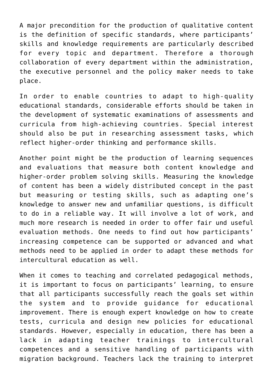A major precondition for the production of qualitative content is the definition of specific standards, where participants' skills and knowledge requirements are particularly described for every topic and department. Therefore a thorough collaboration of every department within the administration, the executive personnel and the policy maker needs to take place.

In order to enable countries to adapt to high-quality educational standards, considerable efforts should be taken in the development of systematic examinations of assessments and curricula from high-achieving countries. Special interest should also be put in researching assessment tasks, which reflect higher-order thinking and performance skills.

Another point might be the production of learning sequences and evaluations that measure both content knowledge and higher-order problem solving skills. Measuring the knowledge of content has been a widely distributed concept in the past but measuring or testing skills, such as adapting one's knowledge to answer new and unfamiliar questions, is difficult to do in a reliable way. It will involve a lot of work, and much more research is needed in order to offer fair und useful evaluation methods. One needs to find out how participants' increasing competence can be supported or advanced and what methods need to be applied in order to adapt these methods for intercultural education as well.

When it comes to teaching and correlated pedagogical methods, it is important to focus on participants' learning, to ensure that all participants successfully reach the goals set within the system and to provide guidance for educational improvement. There is enough expert knowledge on how to create tests, curricula and design new policies for educational standards. However, especially in education, there has been a lack in adapting teacher trainings to intercultural competences and a sensitive handling of participants with migration background. Teachers lack the training to interpret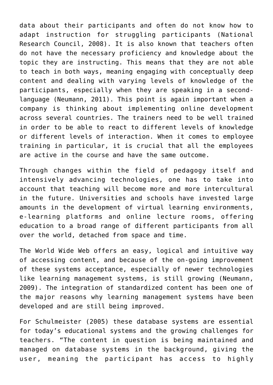data about their participants and often do not know how to adapt instruction for struggling participants (National Research Council, 2008). It is also known that teachers often do not have the necessary proficiency and knowledge about the topic they are instructing. This means that they are not able to teach in both ways, meaning engaging with conceptually deep content and dealing with varying levels of knowledge of the participants, especially when they are speaking in a secondlanguage (Neumann, 2011). This point is again important when a company is thinking about implementing online development across several countries. The trainers need to be well trained in order to be able to react to different levels of knowledge or different levels of interaction. When it comes to employee training in particular, it is crucial that all the employees are active in the course and have the same outcome.

Through changes within the field of pedagogy itself and intensively advancing technologies, one has to take into account that teaching will become more and more intercultural in the future. Universities and schools have invested large amounts in the development of virtual learning environments, e-learning platforms and online lecture rooms, offering education to a broad range of different participants from all over the world, detached from space and time.

The World Wide Web offers an easy, logical and intuitive way of accessing content, and because of the on-going improvement of these systems acceptance, especially of newer technologies like learning management systems, is still growing (Neumann, 2009). The integration of standardized content has been one of the major reasons why learning management systems have been developed and are still being improved.

For Schulmeister (2005) these database systems are essential for today's educational systems and the growing challenges for teachers. "The content in question is being maintained and managed on database systems in the background, giving the user, meaning the participant has access to highly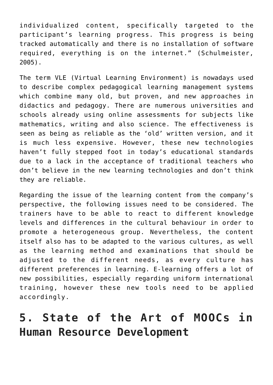individualized content, specifically targeted to the participant's learning progress. This progress is being tracked automatically and there is no installation of software required, everything is on the internet." (Schulmeister, 2005).

The term VLE (Virtual Learning Environment) is nowadays used to describe complex pedagogical learning management systems which combine many old, but proven, and new approaches in didactics and pedagogy. There are numerous universities and schools already using online assessments for subjects like mathematics, writing and also science. The effectiveness is seen as being as reliable as the 'old' written version, and it is much less expensive. However, these new technologies haven't fully stepped foot in today's educational standards due to a lack in the acceptance of traditional teachers who don't believe in the new learning technologies and don't think they are reliable.

Regarding the issue of the learning content from the company's perspective, the following issues need to be considered. The trainers have to be able to react to different knowledge levels and differences in the cultural behaviour in order to promote a heterogeneous group. Nevertheless, the content itself also has to be adapted to the various cultures, as well as the learning method and examinations that should be adjusted to the different needs, as every culture has different preferences in learning. E-learning offers a lot of new possibilities, especially regarding uniform international training, however these new tools need to be applied accordingly.

## **5. State of the Art of MOOCs in Human Resource Development**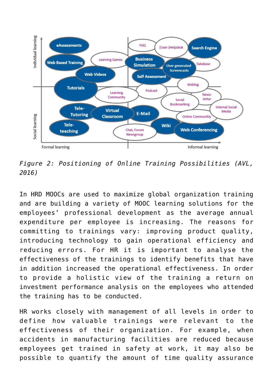

*Figure 2: Positioning of Online Training Possibilities (AVL, 2016)*

In HRD MOOCs are used to maximize global organization training and are building a variety of MOOC learning solutions for the employees' professional development as the average annual expenditure per employee is increasing. The reasons for committing to trainings vary: improving product quality, introducing technology to gain operational efficiency and reducing errors. For HR it is important to analyse the effectiveness of the trainings to identify benefits that have in addition increased the operational effectiveness. In order to provide a holistic view of the training a return on investment performance analysis on the employees who attended the training has to be conducted.

HR works closely with management of all levels in order to define how valuable trainings were relevant to the effectiveness of their organization. For example, when accidents in manufacturing facilities are reduced because employees get trained in safety at work, it may also be possible to quantify the amount of time quality assurance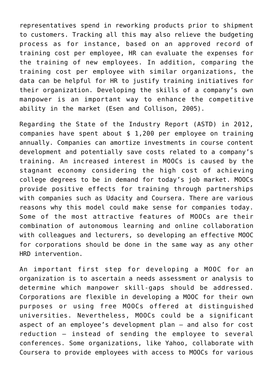representatives spend in reworking products prior to shipment to customers. Tracking all this may also relieve the budgeting process as for instance, based on an approved record of training cost per employee, HR can evaluate the expenses for the training of new employees. In addition, comparing the training cost per employee with similar organizations, the data can be helpful for HR to justify training initiatives for their organization. Developing the skills of a company's own manpower is an important way to enhance the competitive ability in the market (Esen and Collison, 2005).

Regarding the State of the Industry Report (ASTD) in 2012, companies have spent about \$ 1,200 per employee on training annually. Companies can amortize investments in course content development and potentially save costs related to a company's training. An increased interest in MOOCs is caused by the stagnant economy considering the high cost of achieving college degrees to be in demand for today's job market. MOOCs provide positive effects for training through partnerships with companies such as Udacity and Coursera. There are various reasons why this model could make sense for companies today. Some of the most attractive features of MOOCs are their combination of autonomous learning and online collaboration with colleagues and lecturers, so developing an effective MOOC for corporations should be done in the same way as any other HRD intervention.

An important first step for developing a MOOC for an organization is to ascertain a needs assessment or analysis to determine which manpower skill-gaps should be addressed. Corporations are flexible in developing a MOOC for their own purposes or using free MOOCs offered at distinguished universities. Nevertheless, MOOCs could be a significant aspect of an employee's development plan – and also for cost reduction – instead of sending the employee to several conferences. Some organizations, like Yahoo, collaborate with Coursera to provide employees with access to MOOCs for various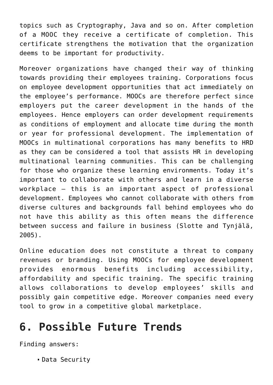topics such as Cryptography, Java and so on. After completion of a MOOC they receive a certificate of completion. This certificate strengthens the motivation that the organization deems to be important for productivity.

Moreover organizations have changed their way of thinking towards providing their employees training. Corporations focus on employee development opportunities that act immediately on the employee's performance. MOOCs are therefore perfect since employers put the career development in the hands of the employees. Hence employers can order development requirements as conditions of employment and allocate time during the month or year for professional development. The implementation of MOOCs in multinational corporations has many benefits to HRD as they can be considered a tool that assists HR in developing multinational learning communities. This can be challenging for those who organize these learning environments. Today it's important to collaborate with others and learn in a diverse workplace – this is an important aspect of professional development. Employees who cannot collaborate with others from diverse cultures and backgrounds fall behind employees who do not have this ability as this often means the difference between success and failure in business (Slotte and Tynjälä, 2005).

Online education does not constitute a threat to company revenues or branding. Using MOOCs for employee development provides enormous benefits including accessibility, affordability and specific training. The specific training allows collaborations to develop employees' skills and possibly gain competitive edge. Moreover companies need every tool to grow in a competitive global marketplace.

### **6. Possible Future Trends**

Finding answers:

Data Security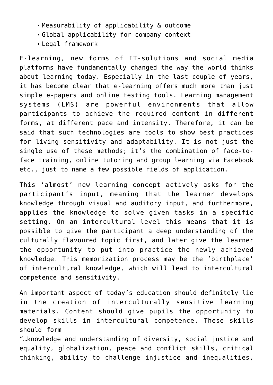- Measurability of applicability & outcome
- Global applicability for company context
- Legal framework

E-learning, new forms of IT-solutions and social media platforms have fundamentally changed the way the world thinks about learning today. Especially in the last couple of years, it has become clear that e-learning offers much more than just simple e-papers and online testing tools. Learning management systems (LMS) are powerful environments that allow participants to achieve the required content in different forms, at different pace and intensity. Therefore, it can be said that such technologies are tools to show best practices for living sensitivity and adaptability. It is not just the single use of these methods; it's the combination of face-toface training, online tutoring and group learning via Facebook etc., just to name a few possible fields of application.

This 'almost' new learning concept actively asks for the participant's input, meaning that the learner develops knowledge through visual and auditory input, and furthermore, applies the knowledge to solve given tasks in a specific setting. On an intercultural level this means that it is possible to give the participant a deep understanding of the culturally flavoured topic first, and later give the learner the opportunity to put into practice the newly achieved knowledge. This memorization process may be the 'birthplace' of intercultural knowledge, which will lead to intercultural competence and sensitivity.

An important aspect of today's education should definitely lie in the creation of interculturally sensitive learning materials. Content should give pupils the opportunity to develop skills in intercultural competence. These skills should form

"…knowledge and understanding of diversity, social justice and equality, globalization, peace and conflict skills, critical thinking, ability to challenge injustice and inequalities,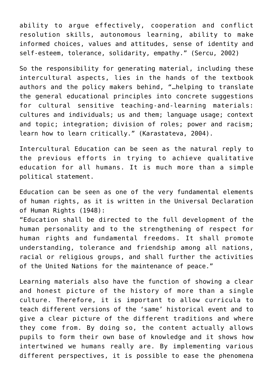ability to argue effectively, cooperation and conflict resolution skills, autonomous learning, ability to make informed choices, values and attitudes, sense of identity and self-esteem, tolerance, solidarity, empathy." (Sercu, 2002)

So the responsibility for generating material, including these intercultural aspects, lies in the hands of the textbook authors and the policy makers behind, "…helping to translate the general educational principles into concrete suggestions for cultural sensitive teaching-and-learning materials: cultures and individuals; us and them; language usage; context and topic; integration; division of roles; power and racism; learn how to learn critically." (Karastateva, 2004).

Intercultural Education can be seen as the natural reply to the previous efforts in trying to achieve qualitative education for all humans. It is much more than a simple political statement.

Education can be seen as one of the very fundamental elements of human rights, as it is written in the Universal Declaration of Human Rights (1948):

"Education shall be directed to the full development of the human personality and to the strengthening of respect for human rights and fundamental freedoms. It shall promote understanding, tolerance and friendship among all nations, racial or religious groups, and shall further the activities of the United Nations for the maintenance of peace."

Learning materials also have the function of showing a clear and honest picture of the history of more than a single culture. Therefore, it is important to allow curricula to teach different versions of the 'same' historical event and to give a clear picture of the different traditions and where they come from. By doing so, the content actually allows pupils to form their own base of knowledge and it shows how intertwined we humans really are. By implementing various different perspectives, it is possible to ease the phenomena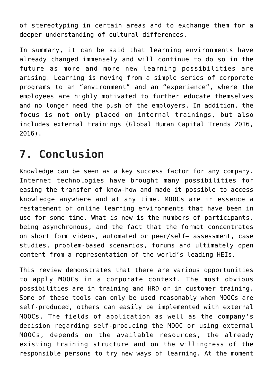of stereotyping in certain areas and to exchange them for a deeper understanding of cultural differences.

In summary, it can be said that learning environments have already changed immensely and will continue to do so in the future as more and more new learning possibilities are arising. Learning is moving from a simple series of corporate programs to an "environment" and an "experience", where the employees are highly motivated to further educate themselves and no longer need the push of the employers. In addition, the focus is not only placed on internal trainings, but also includes external trainings (Global Human Capital Trends 2016, 2016).

## **7. Conclusion**

Knowledge can be seen as a key success factor for any company. Internet technologies have brought many possibilities for easing the transfer of know-how and made it possible to access knowledge anywhere and at any time. MOOCs are in essence a restatement of online learning environments that have been in use for some time. What is new is the numbers of participants, being asynchronous, and the fact that the format concentrates on short form videos, automated or peer/self– assessment, case studies, problem-based scenarios, forums and ultimately open content from a representation of the world's leading HEIs.

This review demonstrates that there are various opportunities to apply MOOCs in a corporate context. The most obvious possibilities are in training and HRD or in customer training. Some of these tools can only be used reasonably when MOOCs are self-produced, others can easily be implemented with external MOOCs. The fields of application as well as the company's decision regarding self-producing the MOOC or using external MOOCs, depends on the available resources, the already existing training structure and on the willingness of the responsible persons to try new ways of learning. At the moment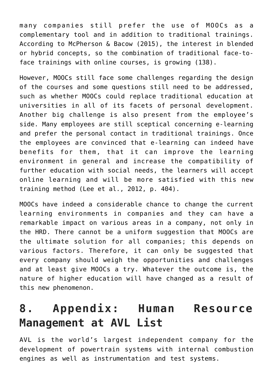many companies still prefer the use of MOOCs as a complementary tool and in addition to traditional trainings. According to McPherson & Bacow (2015), the interest in blended or hybrid concepts, so the combination of traditional face-toface trainings with online courses, is growing (138).

However, MOOCs still face some challenges regarding the design of the courses and some questions still need to be addressed, such as whether MOOCs could replace traditional education at universities in all of its facets of personal development. Another big challenge is also present from the employee's side. Many employees are still sceptical concerning e-learning and prefer the personal contact in traditional trainings. Once the employees are convinced that e-learning can indeed have benefits for them, that it can improve the learning environment in general and increase the compatibility of further education with social needs, the learners will accept online learning and will be more satisfied with this new training method (Lee et al., 2012, p. 404).

MOOCs have indeed a considerable chance to change the current learning environments in companies and they can have a remarkable impact on various areas in a company, not only in the HRD. There cannot be a uniform suggestion that MOOCs are the ultimate solution for all companies; this depends on various factors. Therefore, it can only be suggested that every company should weigh the opportunities and challenges and at least give MOOCs a try. Whatever the outcome is, the nature of higher education will have changed as a result of this new phenomenon.

## **8. Appendix: Human Resource Management at AVL List**

AVL is the world's largest independent company for the development of powertrain systems with internal combustion engines as well as instrumentation and test systems.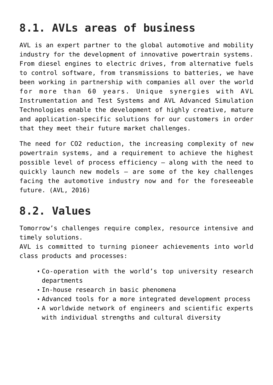## **8.1. AVLs areas of business**

AVL is an expert partner to the global automotive and mobility industry for the development of innovative powertrain systems. From diesel engines to electric drives, from alternative fuels to control software, from transmissions to batteries, we have been working in partnership with companies all over the world for more than 60 years. Unique synergies with AVL Instrumentation and Test Systems and AVL Advanced Simulation Technologies enable the development of highly creative, mature and application-specific solutions for our customers in order that they meet their future market challenges.

The need for CO2 reduction, the increasing complexity of new powertrain systems, and a requirement to achieve the highest possible level of process efficiency – along with the need to quickly launch new models – are some of the key challenges facing the automotive industry now and for the foreseeable future. (AVL, 2016)

## **8.2. Values**

Tomorrow's challenges require complex, resource intensive and timely solutions.

AVL is committed to turning pioneer achievements into world class products and processes:

- Co-operation with the world's top university research departments
- In-house research in basic phenomena
- Advanced tools for a more integrated development process
- A worldwide network of engineers and scientific experts with individual strengths and cultural diversity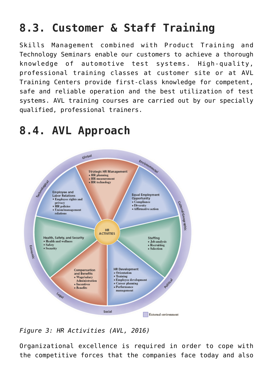## **8.3. Customer & Staff Training**

Skills Management combined with Product Training and Technology Seminars enable our customers to achieve a thorough knowledge of automotive test systems. High-quality, professional training classes at customer site or at AVL Training Centers provide first-class knowledge for competent, safe and reliable operation and the best utilization of test systems. AVL training courses are carried out by our specially qualified, professional trainers.

### **8.4. AVL Approach**



*Figure 3: HR Activities (AVL, 2016)*

Organizational excellence is required in order to cope with the competitive forces that the companies face today and also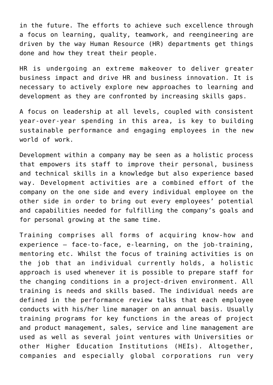in the future. The efforts to achieve such excellence through a focus on learning, quality, teamwork, and reengineering are driven by the way Human Resource (HR) departments get things done and how they treat their people.

HR is undergoing an extreme makeover to deliver greater business impact and drive HR and business innovation. It is necessary to actively explore new approaches to learning and development as they are confronted by increasing skills gaps.

A focus on leadership at all levels, coupled with consistent year-over-year spending in this area, is key to building sustainable performance and engaging employees in the new world of work.

Development within a company may be seen as a holistic process that empowers its staff to improve their personal, business and technical skills in a knowledge but also experience based way. Development activities are a combined effort of the company on the one side and every individual employee on the other side in order to bring out every employees' potential and capabilities needed for fulfilling the company's goals and for personal growing at the same time.

Training comprises all forms of acquiring know-how and experience – face-to-face, e-learning, on the job-training, mentoring etc. Whilst the focus of training activities is on the job that an individual currently holds, a holistic approach is used whenever it is possible to prepare staff for the changing conditions in a project-driven environment. All training is needs and skills based. The individual needs are defined in the performance review talks that each employee conducts with his/her line manager on an annual basis. Usually training programs for key functions in the areas of project and product management, sales, service and line management are used as well as several joint ventures with Universities or other Higher Education Institutions (HEIs). Altogether, companies and especially global corporations run very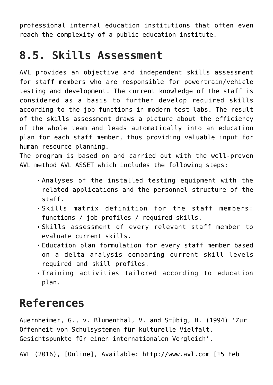professional internal education institutions that often even reach the complexity of a public education institute.

## **8.5. Skills Assessment**

AVL provides an objective and independent skills assessment for staff members who are responsible for powertrain/vehicle testing and development. The current knowledge of the staff is considered as a basis to further develop required skills according to the job functions in modern test labs. The result of the skills assessment draws a picture about the efficiency of the whole team and leads automatically into an education plan for each staff member, thus providing valuable input for human resource planning.

The program is based on and carried out with the well-proven AVL method AVL ASSET which includes the following steps:

- Analyses of the installed testing equipment with the related applications and the personnel structure of the staff.
- Skills matrix definition for the staff members: functions / job profiles / required skills.
- Skills assessment of every relevant staff member to evaluate current skills.
- Education plan formulation for every staff member based on a delta analysis comparing current skill levels required and skill profiles.
- Training activities tailored according to education plan.

## **References**

Auernheimer, G., v. Blumenthal, V. and Stübig, H. (1994) 'Zur Offenheit von Schulsystemen für kulturelle Vielfalt. Gesichtspunkte für einen internationalen Vergleich'.

AVL (2016), [Online], Available: <http://www.avl.com>[15 Feb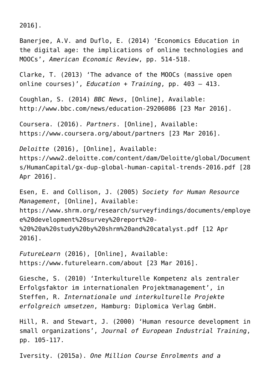2016].

Banerjee, A.V. and Duflo, E. (2014) 'Economics Education in the digital age: the implications of online technologies and MOOCs', *American Economic Review*, pp. 514-518.

Clarke, T. (2013) 'The advance of the MOOCs (massive open online courses)', *Education + Training*, pp. 403 – 413.

Coughlan, S. (2014) *BBC News*, [Online], Available: <http://www.bbc.com/news/education-29206086>[23 Mar 2016].

Coursera. (2016). *Partners*. [Online], Available: <https://www.coursera.org/about/partners> [23 Mar 2016].

*Deloitte* (2016), [Online], Available:

[https://www2.deloitte.com/content/dam/Deloitte/global/Document](https://www2.deloitte.com/content/dam/Deloitte/global/Documents/HumanCapital/gx-dup-global-human-capital-trends-2016.pdf) [s/HumanCapital/gx-dup-global-human-capital-trends-2016.pdf](https://www2.deloitte.com/content/dam/Deloitte/global/Documents/HumanCapital/gx-dup-global-human-capital-trends-2016.pdf) [28 Apr 2016].

Esen, E. and Collison, J. (2005) *Society for Human Resource Management*, [Online], Available: [https://www.shrm.org/research/surveyfindings/documents/employe](https://www.shrm.org/research/surveyfindings/documents/employee%20development%20survey%20report%20-%20%20a%20study%20by%20shrm%20and%20catalyst.pdf) [e%20development%20survey%20report%20-](https://www.shrm.org/research/surveyfindings/documents/employee%20development%20survey%20report%20-%20%20a%20study%20by%20shrm%20and%20catalyst.pdf) [%20%20a%20study%20by%20shrm%20and%20catalyst.pdf](https://www.shrm.org/research/surveyfindings/documents/employee%20development%20survey%20report%20-%20%20a%20study%20by%20shrm%20and%20catalyst.pdf) [12 Apr 2016].

*FutureLearn* (2016), [Online], Available: <https://www.futurelearn.com/about>[23 Mar 2016].

Giesche, S. (2010) 'Interkulturelle Kompetenz als zentraler Erfolgsfaktor im internationalen Projektmanagement', in Steffen, R. *Internationale und interkulturelle Projekte erfolgreich umsetzen*, Hamburg: Diplomica Verlag GmbH.

Hill, R. and Stewart, J. (2000) 'Human resource development in small organizations', *Journal of European Industrial Training*, pp. 105-117.

Iversity. (2015a). *One Million Course Enrolments and a*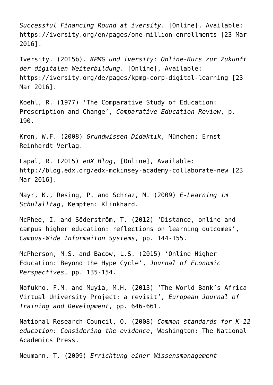*Successful Financing Round at iversity*. [Online], Available: <https://iversity.org/en/pages/one-million-enrollments> [23 Mar 2016].

Iversity. (2015b). *KPMG und iversity: Online-Kurs zur Zukunft der digitalen Weiterbildung*. [Online], Available: <https://iversity.org/de/pages/kpmg-corp-digital-learning>[23 Mar 2016].

Koehl, R. (1977) 'The Comparative Study of Education: Prescription and Change', *Comparative Education Review*, p. 190.

Kron, W.F. (2008) *Grundwissen Didaktik*, München: Ernst Reinhardt Verlag.

Lapal, R. (2015) *edX Blog*, [Online], Available: <http://blog.edx.org/edx-mckinsey-academy-collaborate-new>[23 Mar 2016].

Mayr, K., Resing, P. and Schraz, M. (2009) *E-Learning im Schulalltag*, Kempten: Klinkhard.

McPhee, I. and Söderström, T. (2012) 'Distance, online and campus higher education: reflections on learning outcomes', *Campus-Wide Informaiton Systems*, pp. 144-155.

McPherson, M.S. and Bacow, L.S. (2015) 'Online Higher Education: Beyond the Hype Cycle', *Journal of Economic Perspectives*, pp. 135-154.

Nafukho, F.M. and Muyia, M.H. (2013) 'The World Bank's Africa Virtual University Project: a revisit', *European Journal of Training and Development*, pp. 646-661.

National Research Council, O. (2008) *Common standards for K-12 education: Considering the evidence*, Washington: The National Academics Press.

Neumann, T. (2009) *Errichtung einer Wissensmanagement*